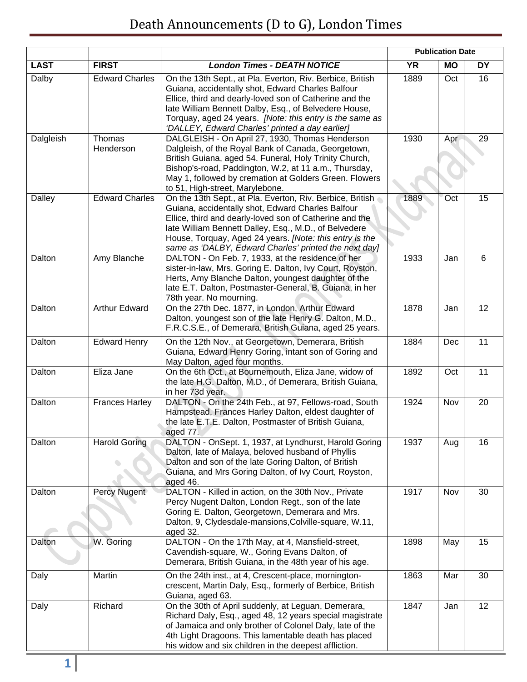|             |                       |                                                                                                                                                                                                                                                                                                                                                          |           | <b>Publication Date</b> |           |
|-------------|-----------------------|----------------------------------------------------------------------------------------------------------------------------------------------------------------------------------------------------------------------------------------------------------------------------------------------------------------------------------------------------------|-----------|-------------------------|-----------|
| <b>LAST</b> | <b>FIRST</b>          | <b>London Times - DEATH NOTICE</b>                                                                                                                                                                                                                                                                                                                       | <b>YR</b> | <b>MO</b>               | <b>DY</b> |
| Dalby       | <b>Edward Charles</b> | On the 13th Sept., at Pla. Everton, Riv. Berbice, British<br>Guiana, accidentally shot, Edward Charles Balfour<br>Ellice, third and dearly-loved son of Catherine and the<br>late William Bennett Dalby, Esq., of Belvedere House,<br>Torquay, aged 24 years. [Note: this entry is the same as<br>'DALLEY, Edward Charles' printed a day earlier]        | 1889      | Oct                     | 16        |
| Dalgleish   | Thomas<br>Henderson   | DALGLEISH - On April 27, 1930, Thomas Henderson<br>Dalgleish, of the Royal Bank of Canada, Georgetown,<br>British Guiana, aged 54. Funeral, Holy Trinity Church,<br>Bishop's-road, Paddington, W.2, at 11 a.m., Thursday,<br>May 1, followed by cremation at Golders Green. Flowers<br>to 51, High-street, Marylebone.                                   | 1930      | Apr                     | 29        |
| Dalley      | <b>Edward Charles</b> | On the 13th Sept., at Pla. Everton, Riv. Berbice, British @<br>Guiana, accidentally shot, Edward Charles Balfour<br>Ellice, third and dearly-loved son of Catherine and the<br>late William Bennett Dalley, Esq., M.D., of Belvedere<br>House, Torquay, Aged 24 years. [Note: this entry is the<br>same as 'DALBY, Edward Charles' printed the next day] | 1889      | Oct                     | 15        |
| Dalton      | Amy Blanche           | DALTON - On Feb. 7, 1933, at the residence of her<br>sister-in-law, Mrs. Goring E. Dalton, Ivy Court, Royston,<br>Herts, Amy Blanche Dalton, youngest daughter of the<br>late E.T. Dalton, Postmaster-General, B. Guiana, in her<br>78th year. No mourning.                                                                                              | 1933      | Jan                     | 6         |
| Dalton      | <b>Arthur Edward</b>  | On the 27th Dec. 1877, in London, Arthur Edward<br>Dalton, youngest son of the late Henry G. Dalton, M.D.,<br>F.R.C.S.E., of Demerara, British Guiana, aged 25 years.                                                                                                                                                                                    | 1878      | Jan                     | 12        |
| Dalton      | <b>Edward Henry</b>   | On the 12th Nov., at Georgetown, Demerara, British<br>Guiana, Edward Henry Goring, intant son of Goring and<br>May Dalton, aged four months.                                                                                                                                                                                                             | 1884      | Dec                     | 11        |
| Dalton      | Eliza Jane            | On the 6th Oct., at Bournemouth, Eliza Jane, widow of<br>the late H.G. Dalton, M.D., of Demerara, British Guiana,<br>in her 73d year.                                                                                                                                                                                                                    | 1892      | Oct                     | 11        |
| Dalton      | <b>Frances Harley</b> | DALTON - On the 24th Feb., at 97, Fellows-road, South<br>Hampstead, Frances Harley Dalton, eldest daughter of<br>the late E.T.E. Dalton, Postmaster of British Guiana,<br>aged 77.                                                                                                                                                                       | 1924      | Nov                     | 20        |
| Dalton      | <b>Harold Goring</b>  | DALTON - OnSept. 1, 1937, at Lyndhurst, Harold Goring<br>Dalton, late of Malaya, beloved husband of Phyllis<br>Dalton and son of the late Goring Dalton, of British<br>Guiana, and Mrs Goring Dalton, of Ivy Court, Royston,<br>aged 46.                                                                                                                 | 1937      | Aug                     | 16        |
| Dalton      | Percy Nugent          | DALTON - Killed in action, on the 30th Nov., Private<br>Percy Nugent Dalton, London Regt., son of the late<br>Goring E. Dalton, Georgetown, Demerara and Mrs.<br>Dalton, 9, Clydesdale-mansions, Colville-square, W.11,<br>aged 32.                                                                                                                      | 1917      | Nov                     | 30        |
| Dalton      | W. Goring             | DALTON - On the 17th May, at 4, Mansfield-street,<br>Cavendish-square, W., Goring Evans Dalton, of<br>Demerara, British Guiana, in the 48th year of his age.                                                                                                                                                                                             | 1898      | May                     | 15        |
| Daly        | Martin                | On the 24th inst., at 4, Crescent-place, mornington-<br>crescent, Martin Daly, Esq., formerly of Berbice, British<br>Guiana, aged 63.                                                                                                                                                                                                                    | 1863      | Mar                     | 30        |
| Daly        | Richard               | On the 30th of April suddenly, at Leguan, Demerara,<br>Richard Daly, Esq., aged 48, 12 years special magistrate<br>of Jamaica and only brother of Colonel Daly, late of the<br>4th Light Dragoons. This lamentable death has placed<br>his widow and six children in the deepest affliction.                                                             | 1847      | Jan                     | 12        |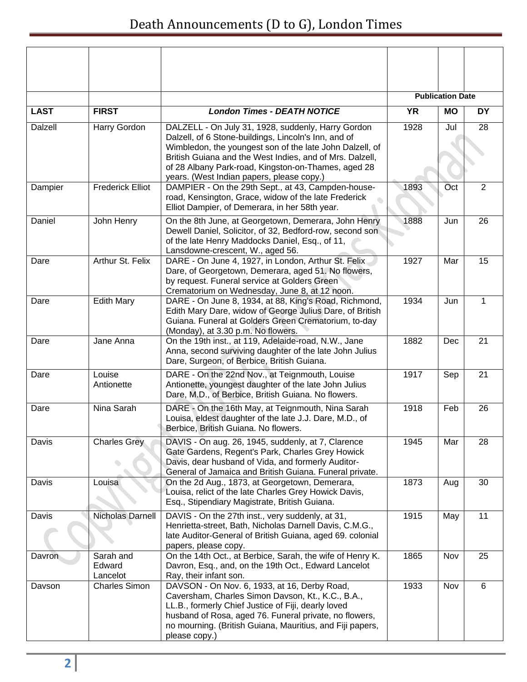|             |                                 |                                                                                                                                                                                                                                                                                                                                        |           | <b>Publication Date</b> |                |
|-------------|---------------------------------|----------------------------------------------------------------------------------------------------------------------------------------------------------------------------------------------------------------------------------------------------------------------------------------------------------------------------------------|-----------|-------------------------|----------------|
| <b>LAST</b> | <b>FIRST</b>                    | <b>London Times - DEATH NOTICE</b>                                                                                                                                                                                                                                                                                                     | <b>YR</b> | <b>MO</b>               | <b>DY</b>      |
| Dalzell     | Harry Gordon                    | DALZELL - On July 31, 1928, suddenly, Harry Gordon<br>Dalzell, of 6 Stone-buildings, Lincoln's Inn, and of<br>Wimbledon, the youngest son of the late John Dalzell, of<br>British Guiana and the West Indies, and of Mrs. Dalzell,<br>of 28 Albany Park-road, Kingston-on-Thames, aged 28<br>years. (West Indian papers, please copy.) | 1928      | Jul                     | 28             |
| Dampier     | <b>Frederick Elliot</b>         | DAMPIER - On the 29th Sept., at 43, Campden-house-<br>road, Kensington, Grace, widow of the late Frederick<br>Elliot Dampier, of Demerara, in her 58th year.                                                                                                                                                                           | 1893      | Oct                     | $\overline{2}$ |
| Daniel      | John Henry                      | On the 8th June, at Georgetown, Demerara, John Henry<br>Dewell Daniel, Solicitor, of 32, Bedford-row, second son<br>of the late Henry Maddocks Daniel, Esq., of 11,<br>Lansdowne-crescent, W., aged 56.                                                                                                                                | 1888      | Jun                     | 26             |
| Dare        | Arthur St. Felix                | DARE - On June 4, 1927, in London, Arthur St. Felix<br>Dare, of Georgetown, Demerara, aged 51. No flowers,<br>by request. Funeral service at Golders Green<br>Crematorium on Wednesday, June 8, at 12 noon.                                                                                                                            | 1927      | Mar                     | 15             |
| Dare        | <b>Edith Mary</b>               | DARE - On June 8, 1934, at 88, King's Road, Richmond,<br>Edith Mary Dare, widow of George Julius Dare, of British<br>Guiana. Funeral at Golders Green Crematorium, to-day<br>(Monday), at 3.30 p.m. No flowers.                                                                                                                        | 1934      | Jun                     | $\mathbf 1$    |
| Dare        | Jane Anna                       | On the 19th inst., at 119, Adelaide-road, N.W., Jane<br>Anna, second surviving daughter of the late John Julius<br>Dare, Surgeon, of Berbice, British Guiana.                                                                                                                                                                          | 1882      | Dec                     | 21             |
| Dare        | Louise<br>Antionette            | DARE - On the 22nd Nov., at Teignmouth, Louise<br>Antionette, youngest daughter of the late John Julius<br>Dare, M.D., of Berbice, British Guiana. No flowers.                                                                                                                                                                         | 1917      | Sep                     | 21             |
| Dare        | Nina Sarah                      | DARE - On the 16th May, at Teignmouth, Nina Sarah<br>Louisa, eldest daughter of the late J.J. Dare, M.D., of<br>Berbice, British Guiana. No flowers.                                                                                                                                                                                   | 1918      | Feb                     | 26             |
| Davis       | <b>Charles Grey</b>             | DAVIS - On aug. 26, 1945, suddenly, at 7, Clarence<br>Gate Gardens, Regent's Park, Charles Grey Howick<br>Davis, dear husband of Vida, and formerly Auditor-<br>General of Jamaica and British Guiana. Funeral private.                                                                                                                | 1945      | Mar                     | 28             |
| Davis       | Louisa                          | On the 2d Aug., 1873, at Georgetown, Demerara,<br>Louisa, relict of the late Charles Grey Howick Davis,<br>Esq., Stipendiary Magistrate, British Guiana.                                                                                                                                                                               | 1873      | Aug                     | 30             |
| Davis       | Nicholas Darnell                | DAVIS - On the 27th inst., very suddenly, at 31,<br>Henrietta-street, Bath, Nicholas Darnell Davis, C.M.G.,<br>late Auditor-General of British Guiana, aged 69. colonial<br>papers, please copy.                                                                                                                                       | 1915      | May                     | 11             |
| Davron      | Sarah and<br>Edward<br>Lancelot | On the 14th Oct., at Berbice, Sarah, the wife of Henry K.<br>Davron, Esq., and, on the 19th Oct., Edward Lancelot<br>Ray, their infant son.                                                                                                                                                                                            | 1865      | Nov                     | 25             |
| Davson      | <b>Charles Simon</b>            | DAVSON - On Nov. 6, 1933, at 16, Derby Road,<br>Caversham, Charles Simon Davson, Kt., K.C., B.A.,<br>LL.B., formerly Chief Justice of Fiji, dearly loved<br>husband of Rosa, aged 76. Funeral private, no flowers,<br>no mourning. (British Guiana, Mauritius, and Fiji papers,<br>please copy.)                                       | 1933      | Nov                     | 6              |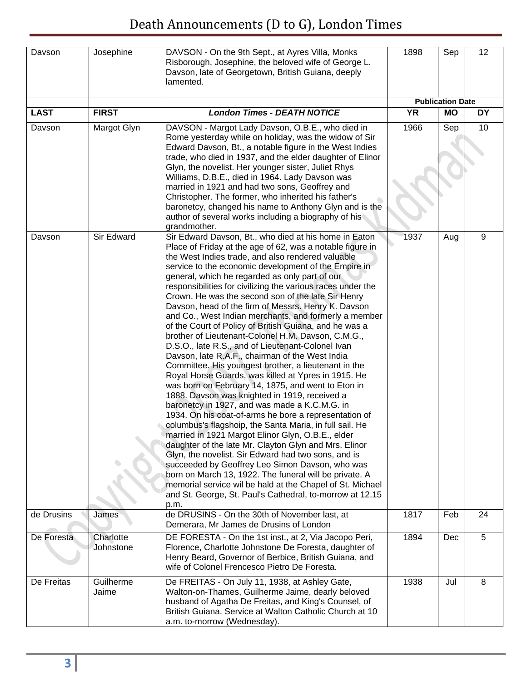| Davson      | Josephine              | DAVSON - On the 9th Sept., at Ayres Villa, Monks<br>Risborough, Josephine, the beloved wife of George L.<br>Davson, late of Georgetown, British Guiana, deeply<br>lamented.                                                                                                                                                                                                                                                                                                                                                                                                                                                                                                                                                                                                                                                                                                                                                                                                                                                                                                                                                                                                                                                                                                                                                                                                                                                                                                                                                                                  | 1898 | Sep                     | 12        |
|-------------|------------------------|--------------------------------------------------------------------------------------------------------------------------------------------------------------------------------------------------------------------------------------------------------------------------------------------------------------------------------------------------------------------------------------------------------------------------------------------------------------------------------------------------------------------------------------------------------------------------------------------------------------------------------------------------------------------------------------------------------------------------------------------------------------------------------------------------------------------------------------------------------------------------------------------------------------------------------------------------------------------------------------------------------------------------------------------------------------------------------------------------------------------------------------------------------------------------------------------------------------------------------------------------------------------------------------------------------------------------------------------------------------------------------------------------------------------------------------------------------------------------------------------------------------------------------------------------------------|------|-------------------------|-----------|
|             |                        |                                                                                                                                                                                                                                                                                                                                                                                                                                                                                                                                                                                                                                                                                                                                                                                                                                                                                                                                                                                                                                                                                                                                                                                                                                                                                                                                                                                                                                                                                                                                                              |      | <b>Publication Date</b> |           |
| <b>LAST</b> | <b>FIRST</b>           | <b>London Times - DEATH NOTICE</b>                                                                                                                                                                                                                                                                                                                                                                                                                                                                                                                                                                                                                                                                                                                                                                                                                                                                                                                                                                                                                                                                                                                                                                                                                                                                                                                                                                                                                                                                                                                           | YR   | <b>MO</b>               | <b>DY</b> |
| Davson      | Margot Glyn            | DAVSON - Margot Lady Davson, O.B.E., who died in<br>Rome yesterday while on holiday, was the widow of Sir<br>Edward Davson, Bt., a notable figure in the West Indies<br>trade, who died in 1937, and the elder daughter of Elinor<br>Glyn, the novelist. Her younger sister, Juliet Rhys<br>Williams, D.B.E., died in 1964. Lady Davson was<br>married in 1921 and had two sons, Geoffrey and<br>Christopher. The former, who inherited his father's<br>baronetcy, changed his name to Anthony Glyn and is the<br>author of several works including a biography of his<br>grandmother.                                                                                                                                                                                                                                                                                                                                                                                                                                                                                                                                                                                                                                                                                                                                                                                                                                                                                                                                                                       | 1966 | Sep                     | 10        |
| Davson      | Sir Edward             | Sir Edward Davson, Bt., who died at his home in Eaton<br>Place of Friday at the age of 62, was a notable figure in<br>the West Indies trade, and also rendered valuable<br>service to the economic development of the Empire in<br>general, which he regarded as only part of our<br>responsibilities for civilizing the various races under the<br>Crown. He was the second son of the late Sir Henry<br>Davson, head of the firm of Messrs. Henry K. Davson<br>and Co., West Indian merchants, and formerly a member<br>of the Court of Policy of British Guiana, and he was a<br>brother of Lieutenant-Colonel H.M. Davson, C.M.G.,<br>D.S.O., late R.S., and of Lieutenant-Colonel Ivan<br>Davson, late R.A.F., chairman of the West India<br>Committee. His youngest brother, a lieutenant in the<br>Royal Horse Guards, was killed at Ypres in 1915. He<br>was born on February 14, 1875, and went to Eton in<br>1888. Davson was knighted in 1919, received a<br>baronetcy in 1927, and was made a K.C.M.G. in<br>1934. On his coat-of-arms he bore a representation of<br>columbus's flagshoip, the Santa Maria, in full sail. He<br>married in 1921 Margot Elinor Glyn, O.B.E., elder<br>daughter of the late Mr. Clayton Glyn and Mrs. Elinor<br>Glyn, the novelist. Sir Edward had two sons, and is<br>succeeded by Geoffrey Leo Simon Davson, who was<br>born on March 13, 1922. The funeral will be private. A<br>memorial service wil be hald at the Chapel of St. Michael<br>and St. George, St. Paul's Cathedral, to-morrow at 12.15<br>p.m. | 1937 | Aug                     | 9         |
| de Drusins  | James                  | de DRUSINS - On the 30th of November last, at<br>Demerara, Mr James de Drusins of London                                                                                                                                                                                                                                                                                                                                                                                                                                                                                                                                                                                                                                                                                                                                                                                                                                                                                                                                                                                                                                                                                                                                                                                                                                                                                                                                                                                                                                                                     | 1817 | Feb                     | 24        |
| De Foresta  | Charlotte<br>Johnstone | DE FORESTA - On the 1st inst., at 2, Via Jacopo Peri,<br>Florence, Charlotte Johnstone De Foresta, daughter of<br>Henry Beard, Governor of Berbice, British Guiana, and<br>wife of Colonel Frencesco Pietro De Foresta.                                                                                                                                                                                                                                                                                                                                                                                                                                                                                                                                                                                                                                                                                                                                                                                                                                                                                                                                                                                                                                                                                                                                                                                                                                                                                                                                      | 1894 | Dec                     | 5         |
| De Freitas  | Guilherme<br>Jaime     | De FREITAS - On July 11, 1938, at Ashley Gate,<br>Walton-on-Thames, Guilherme Jaime, dearly beloved<br>husband of Agatha De Freitas, and King's Counsel, of<br>British Guiana. Service at Walton Catholic Church at 10<br>a.m. to-morrow (Wednesday).                                                                                                                                                                                                                                                                                                                                                                                                                                                                                                                                                                                                                                                                                                                                                                                                                                                                                                                                                                                                                                                                                                                                                                                                                                                                                                        | 1938 | Jul                     | 8         |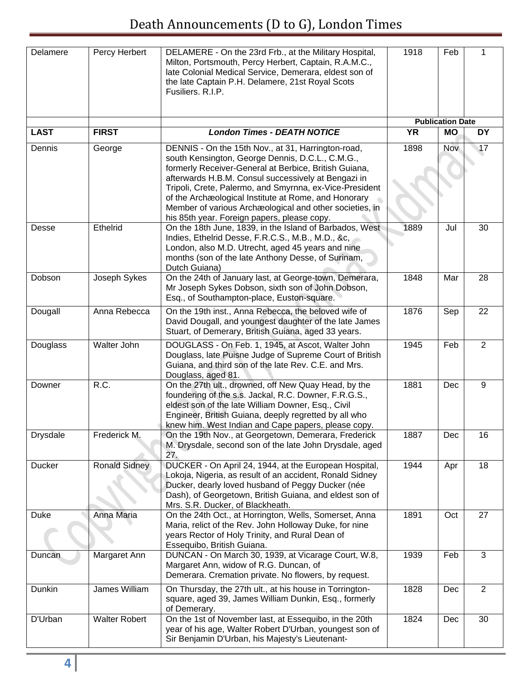| Delamere        | Percy Herbert        | DELAMERE - On the 23rd Frb., at the Military Hospital,<br>Milton, Portsmouth, Percy Herbert, Captain, R.A.M.C.,<br>late Colonial Medical Service, Demerara, eldest son of<br>the late Captain P.H. Delamere, 21st Royal Scots<br>Fusiliers. R.I.P.                                                                                                                                                                                                  | 1918      | Feb                     | 1         |
|-----------------|----------------------|-----------------------------------------------------------------------------------------------------------------------------------------------------------------------------------------------------------------------------------------------------------------------------------------------------------------------------------------------------------------------------------------------------------------------------------------------------|-----------|-------------------------|-----------|
|                 |                      |                                                                                                                                                                                                                                                                                                                                                                                                                                                     |           | <b>Publication Date</b> |           |
| <b>LAST</b>     | <b>FIRST</b>         | <b>London Times - DEATH NOTICE</b>                                                                                                                                                                                                                                                                                                                                                                                                                  | <b>YR</b> | <b>MO</b>               | <b>DY</b> |
| Dennis          | George               | DENNIS - On the 15th Nov., at 31, Harrington-road,<br>south Kensington, George Dennis, D.C.L., C.M.G.,<br>formerly Receiver-General at Berbice, British Guiana,<br>afterwards H.B.M. Consul successively at Bengazi in<br>Tripoli, Crete, Palermo, and Smyrnna, ex-Vice-President<br>of the Archæological Institute at Rome, and Honorary<br>Member of various Archæological and other societies, in<br>his 85th year. Foreign papers, please copy. | 1898      | Nov                     | 17        |
| Desse           | Ethelrid             | On the 18th June, 1839, in the Island of Barbados, West<br>Indies, Ethelrid Desse, F.R.C.S., M.B., M.D., &c,<br>London, also M.D. Utrecht, aged 45 years and nine<br>months (son of the late Anthony Desse, of Surinam,<br>Dutch Guiana)                                                                                                                                                                                                            | 1889      | Jul                     | 30        |
| Dobson          | Joseph Sykes         | On the 24th of January last, at George-town, Demerara,<br>Mr Joseph Sykes Dobson, sixth son of John Dobson,<br>Esq., of Southampton-place, Euston-square.                                                                                                                                                                                                                                                                                           | 1848      | Mar                     | 28        |
| Dougall         | Anna Rebecca         | On the 19th inst., Anna Rebecca, the beloved wife of<br>David Dougall, and youngest daughter of the late James<br>Stuart, of Demerary, British Guiana, aged 33 years.                                                                                                                                                                                                                                                                               | 1876      | Sep                     | 22        |
| Douglass        | <b>Walter John</b>   | DOUGLASS - On Feb. 1, 1945, at Ascot, Walter John<br>Douglass, late Puisne Judge of Supreme Court of British<br>Guiana, and third son of the late Rev. C.E. and Mrs.<br>Douglass, aged 81.                                                                                                                                                                                                                                                          | 1945      | Feb                     | 2         |
| Downer          | R.C.                 | On the 27th ult., drowned, off New Quay Head, by the<br>foundering of the s.s. Jackal, R.C. Downer, F.R.G.S.,<br>eldest son of the late William Downer, Esq., Civil<br>Engineer, British Guiana, deeply regretted by all who<br>knew him. West Indian and Cape papers, please copy.                                                                                                                                                                 | 1881      | Dec                     | 9         |
| <b>Drysdale</b> | Frederick M.         | On the 19th Nov., at Georgetown, Demerara, Frederick<br>M. Drysdale, second son of the late John Drysdale, aged<br>27.                                                                                                                                                                                                                                                                                                                              | 1887      | Dec                     | 16        |
| Ducker          | <b>Ronald Sidney</b> | DUCKER - On April 24, 1944, at the European Hospital,<br>Lokoja, Nigeria, as result of an accident, Ronald Sidney<br>Ducker, dearly loved husband of Peggy Ducker (née<br>Dash), of Georgetown, British Guiana, and eldest son of<br>Mrs. S.R. Ducker, of Blackheath.                                                                                                                                                                               | 1944      | Apr                     | 18        |
| <b>Duke</b>     | Anna Maria           | On the 24th Oct., at Horrington, Wells, Somerset, Anna<br>Maria, relict of the Rev. John Holloway Duke, for nine<br>years Rector of Holy Trinity, and Rural Dean of<br>Essequibo, British Guiana.                                                                                                                                                                                                                                                   | 1891      | Oct                     | 27        |
| Duncan          | Margaret Ann         | DUNCAN - On March 30, 1939, at Vicarage Court, W.8,<br>Margaret Ann, widow of R.G. Duncan, of<br>Demerara. Cremation private. No flowers, by request.                                                                                                                                                                                                                                                                                               | 1939      | Feb                     | 3         |
| Dunkin          | James William        | On Thursday, the 27th ult., at his house in Torrington-<br>square, aged 39, James William Dunkin, Esq., formerly<br>of Demerary.                                                                                                                                                                                                                                                                                                                    | 1828      | Dec                     | 2         |
| D'Urban         | <b>Walter Robert</b> | On the 1st of November last, at Essequibo, in the 20th<br>year of his age, Walter Robert D'Urban, youngest son of<br>Sir Benjamin D'Urban, his Majesty's Lieutenant-                                                                                                                                                                                                                                                                                | 1824      | Dec                     | 30        |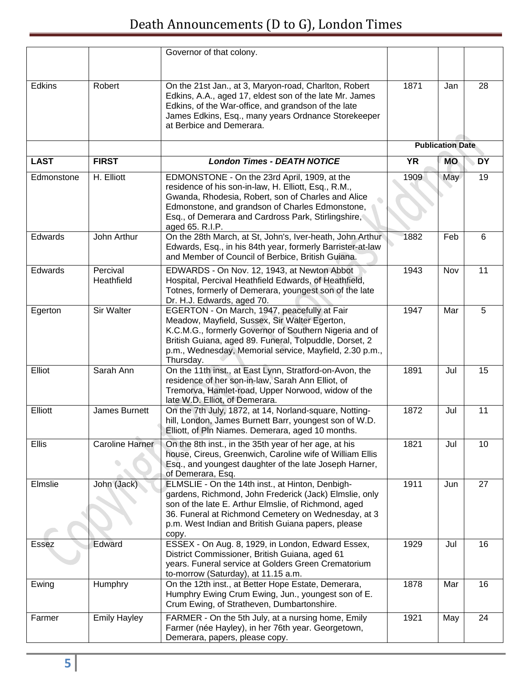|             |                        | Governor of that colony.                                                                                                                                                                                                                                                                  |           |                         |           |
|-------------|------------------------|-------------------------------------------------------------------------------------------------------------------------------------------------------------------------------------------------------------------------------------------------------------------------------------------|-----------|-------------------------|-----------|
| Edkins      | Robert                 | On the 21st Jan., at 3, Maryon-road, Charlton, Robert<br>Edkins, A.A., aged 17, eldest son of the late Mr. James<br>Edkins, of the War-office, and grandson of the late<br>James Edkins, Esq., many years Ordnance Storekeeper<br>at Berbice and Demerara.                                | 1871      | Jan                     | 28        |
|             |                        |                                                                                                                                                                                                                                                                                           |           | <b>Publication Date</b> |           |
| <b>LAST</b> | <b>FIRST</b>           | <b>London Times - DEATH NOTICE</b>                                                                                                                                                                                                                                                        | <b>YR</b> | <b>MO</b>               | <b>DY</b> |
| Edmonstone  | H. Elliott             | EDMONSTONE - On the 23rd April, 1909, at the<br>residence of his son-in-law, H. Elliott, Esq., R.M.,<br>Gwanda, Rhodesia, Robert, son of Charles and Alice<br>Edmonstone, and grandson of Charles Edmonstone,<br>Esq., of Demerara and Cardross Park, Stirlingshire,<br>aged 65. R.I.P.   | 1909      | May                     | 19        |
| Edwards     | John Arthur            | On the 28th March, at St, John's, Iver-heath, John Arthur<br>Edwards, Esq., in his 84th year, formerly Barrister-at-law<br>and Member of Council of Berbice, British Guiana.                                                                                                              | 1882      | Feb                     | 6         |
| Edwards     | Percival<br>Heathfield | EDWARDS - On Nov. 12, 1943, at Newton Abbot<br>Hospital, Percival Heathfield Edwards, of Heathfield,<br>Totnes, formerly of Demerara, youngest son of the late<br>Dr. H.J. Edwards, aged 70.                                                                                              | 1943      | Nov                     | 11        |
| Egerton     | Sir Walter             | EGERTON - On March, 1947, peacefully at Fair<br>Meadow, Mayfield, Sussex, Sir Walter Egerton,<br>K.C.M.G., formerly Governor of Southern Nigeria and of<br>British Guiana, aged 89. Funeral, Tolpuddle, Dorset, 2<br>p.m., Wednesday, Memorial service, Mayfield, 2.30 p.m.,<br>Thursday. | 1947      | Mar                     | 5         |
| Elliot      | Sarah Ann              | On the 11th inst., at East Lynn, Stratford-on-Avon, the<br>residence of her son-in-law, Sarah Ann Elliot, of<br>Tremorva, Hamlet-road, Upper Norwood, widow of the<br>late W.D. Elliot, of Demerara.                                                                                      | 1891      | Jul                     | 15        |
| Elliott     | James Burnett          | On the 7th July, 1872, at 14, Norland-square, Notting-<br>hill, London, James Burnett Barr, youngest son of W.D.<br>Elliott, of Pln Niames. Demerara, aged 10 months.                                                                                                                     | 1872      | Jul                     | 11        |
| Ellis       | <b>Caroline Harner</b> | On the 8th inst., in the 35th year of her age, at his<br>house, Cireus, Greenwich, Caroline wife of William Ellis<br>Esq., and youngest daughter of the late Joseph Harner,<br>of Demerara, Esq.                                                                                          | 1821      | Jul                     | 10        |
| Elmslie     | John (Jack)            | ELMSLIE - On the 14th inst., at Hinton, Denbigh-<br>gardens, Richmond, John Frederick (Jack) Elmslie, only<br>son of the late E. Arthur Elmslie, of Richmond, aged<br>36. Funeral at Richmond Cemetery on Wednesday, at 3<br>p.m. West Indian and British Guiana papers, please<br>copy.  | 1911      | Jun                     | 27        |
| Essez       | Edward                 | ESSEX - On Aug. 8, 1929, in London, Edward Essex,<br>District Commissioner, British Guiana, aged 61<br>years. Funeral service at Golders Green Crematorium<br>to-morrow (Saturday), at 11.15 a.m.                                                                                         | 1929      | Jul                     | 16        |
| Ewing       | Humphry                | On the 12th inst., at Better Hope Estate, Demerara,<br>Humphry Ewing Crum Ewing, Jun., youngest son of E.<br>Crum Ewing, of Stratheven, Dumbartonshire.                                                                                                                                   | 1878      | Mar                     | 16        |
| Farmer      | <b>Emily Hayley</b>    | FARMER - On the 5th July, at a nursing home, Emily<br>Farmer (née Hayley), in her 76th year. Georgetown,<br>Demerara, papers, please copy.                                                                                                                                                | 1921      | May                     | 24        |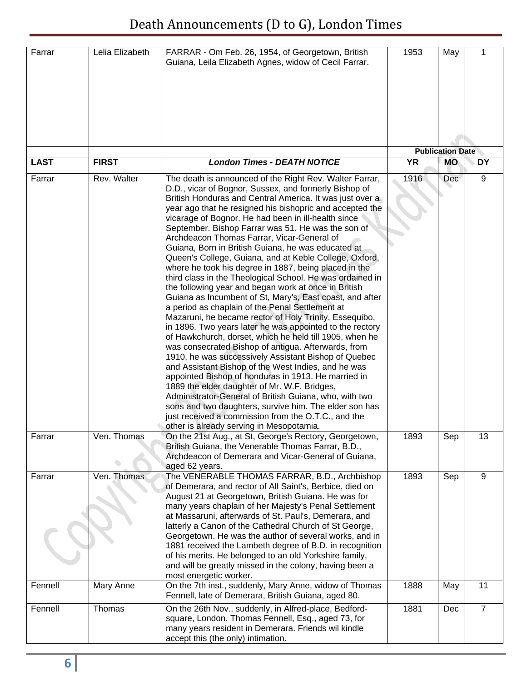| Farrar      | Lelia Elizabeth | FARRAR - Om Feb. 26, 1954, of Georgetown, British<br>Guiana, Leila Elizabeth Agnes, widow of Cecil Farrar.                                                                                                                                                                                                                                                                                                                                                                                                                                                                                                                                                                                                                                                                                                                                                                                                                                                                                                                                                                                                                                                                                                                                                                                                                                                                                                                                                                                            | 1953      | May                     | 1              |
|-------------|-----------------|-------------------------------------------------------------------------------------------------------------------------------------------------------------------------------------------------------------------------------------------------------------------------------------------------------------------------------------------------------------------------------------------------------------------------------------------------------------------------------------------------------------------------------------------------------------------------------------------------------------------------------------------------------------------------------------------------------------------------------------------------------------------------------------------------------------------------------------------------------------------------------------------------------------------------------------------------------------------------------------------------------------------------------------------------------------------------------------------------------------------------------------------------------------------------------------------------------------------------------------------------------------------------------------------------------------------------------------------------------------------------------------------------------------------------------------------------------------------------------------------------------|-----------|-------------------------|----------------|
|             |                 |                                                                                                                                                                                                                                                                                                                                                                                                                                                                                                                                                                                                                                                                                                                                                                                                                                                                                                                                                                                                                                                                                                                                                                                                                                                                                                                                                                                                                                                                                                       |           |                         |                |
|             |                 |                                                                                                                                                                                                                                                                                                                                                                                                                                                                                                                                                                                                                                                                                                                                                                                                                                                                                                                                                                                                                                                                                                                                                                                                                                                                                                                                                                                                                                                                                                       |           | <b>Publication Date</b> |                |
| <b>LAST</b> | <b>FIRST</b>    | <b>London Times - DEATH NOTICE</b>                                                                                                                                                                                                                                                                                                                                                                                                                                                                                                                                                                                                                                                                                                                                                                                                                                                                                                                                                                                                                                                                                                                                                                                                                                                                                                                                                                                                                                                                    | <b>YR</b> | <b>MO</b>               | <b>DY</b>      |
| Farrar      | Rev. Walter     | The death is announced of the Right Rev. Walter Farrar,<br>D.D., vicar of Bognor, Sussex, and formerly Bishop of<br>British Honduras and Central America. It was just over a<br>year ago that he resigned his bishopric and accepted the<br>vicarage of Bognor. He had been in ill-health since<br>September. Bishop Farrar was 51. He was the son of<br>Archdeacon Thomas Farrar, Vicar-General of<br>Guiana, Born in British Guiana, he was educated at<br>Queen's College, Guiana, and at Keble College, Oxford,<br>where he took his degree in 1887, being placed in the<br>third class in the Theological School. He was ordained in<br>the following year and began work at once in British<br>Guiana as Incumbent of St, Mary's, East coast, and after<br>a period as chaplain of the Penal Settlement at<br>Mazaruni, he became rector of Holy Trinity, Essequibo,<br>in 1896. Two years later he was appointed to the rectory<br>of Hawkchurch, dorset, which he held till 1905, when he<br>was consecrated Bishop of antigua. Afterwards, from<br>1910, he was successively Assistant Bishop of Quebec<br>and Assistant Bishop of the West Indies, and he was<br>appointed Bishop of honduras in 1913. He married in<br>1889 the elder daughter of Mr. W.F. Bridges,<br>Administrator-General of British Guiana, who, with two<br>sons and two daughters, survive him. The elder son has<br>just received a commission from the O.T.C., and the<br>other is already serving in Mesopotamia. | 1916      | Dec                     | 9              |
| Farrar      | Ven. Thomas     | On the 21st Aug., at St, George's Rectory, Georgetown,<br>British Guiana, the Venerable Thomas Farrar, B.D.,<br>Archdeacon of Demerara and Vicar-General of Guiana,<br>aged 62 years.                                                                                                                                                                                                                                                                                                                                                                                                                                                                                                                                                                                                                                                                                                                                                                                                                                                                                                                                                                                                                                                                                                                                                                                                                                                                                                                 | 1893      | Sep                     | 13             |
| Farrar      | Ven. Thomas     | The VENERABLE THOMAS FARRAR, B.D., Archbishop<br>of Demerara, and rector of All Saint's, Berbice, died on<br>August 21 at Georgetown, British Guiana. He was for<br>many years chaplain of her Majesty's Penal Settlement<br>at Massaruni, afterwards of St. Paul's, Demerara, and<br>latterly a Canon of the Cathedral Church of St George,<br>Georgetown. He was the author of several works, and in<br>1881 received the Lambeth degree of B.D. in recognition<br>of his merits. He belonged to an old Yorkshire family,<br>and will be greatly missed in the colony, having been a<br>most energetic worker.                                                                                                                                                                                                                                                                                                                                                                                                                                                                                                                                                                                                                                                                                                                                                                                                                                                                                      | 1893      | Sep                     | 9              |
| Fennell     | Mary Anne       | On the 7th inst., suddenly, Mary Anne, widow of Thomas<br>Fennell, late of Demerara, British Guiana, aged 80.                                                                                                                                                                                                                                                                                                                                                                                                                                                                                                                                                                                                                                                                                                                                                                                                                                                                                                                                                                                                                                                                                                                                                                                                                                                                                                                                                                                         | 1888      | May                     | 11             |
| Fennell     | Thomas          | On the 26th Nov., suddenly, in Alfred-place, Bedford-<br>square, London, Thomas Fennell, Esq., aged 73, for<br>many years resident in Demerara. Friends wil kindle<br>accept this (the only) intimation.                                                                                                                                                                                                                                                                                                                                                                                                                                                                                                                                                                                                                                                                                                                                                                                                                                                                                                                                                                                                                                                                                                                                                                                                                                                                                              | 1881      | Dec                     | $\overline{7}$ |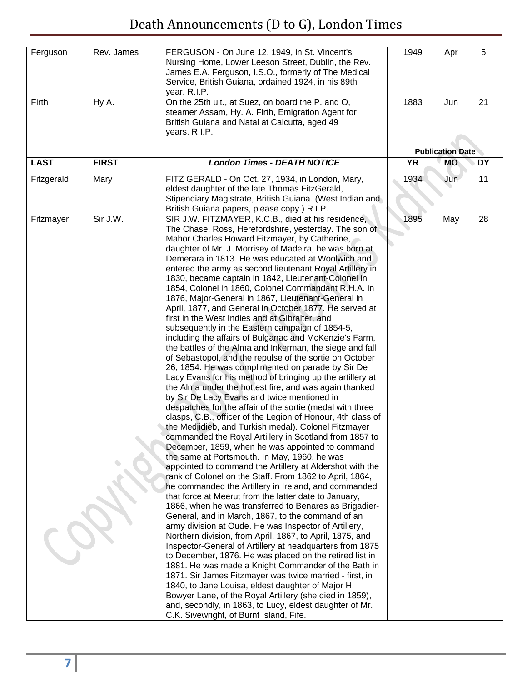| Ferguson    | Rev. James   | FERGUSON - On June 12, 1949, in St. Vincent's<br>Nursing Home, Lower Leeson Street, Dublin, the Rev.<br>James E.A. Ferguson, I.S.O., formerly of The Medical<br>Service, British Guiana, ordained 1924, in his 89th<br>year. R.I.P.                                                                                                                                                                                                                                                                                                                                                                                                                                                                                                                                                                                                                                                                                                                                                                                                                                                                                                                                                                                                                                                                                                                                                                                                                                                                                                                                                                                                                                                                                                                                                                                                                                                                                                                                                                                                                                                                                                                                                                                                                                                                                                                                                 | 1949      | Apr                     | 5         |
|-------------|--------------|-------------------------------------------------------------------------------------------------------------------------------------------------------------------------------------------------------------------------------------------------------------------------------------------------------------------------------------------------------------------------------------------------------------------------------------------------------------------------------------------------------------------------------------------------------------------------------------------------------------------------------------------------------------------------------------------------------------------------------------------------------------------------------------------------------------------------------------------------------------------------------------------------------------------------------------------------------------------------------------------------------------------------------------------------------------------------------------------------------------------------------------------------------------------------------------------------------------------------------------------------------------------------------------------------------------------------------------------------------------------------------------------------------------------------------------------------------------------------------------------------------------------------------------------------------------------------------------------------------------------------------------------------------------------------------------------------------------------------------------------------------------------------------------------------------------------------------------------------------------------------------------------------------------------------------------------------------------------------------------------------------------------------------------------------------------------------------------------------------------------------------------------------------------------------------------------------------------------------------------------------------------------------------------------------------------------------------------------------------------------------------------|-----------|-------------------------|-----------|
| Firth       | Hy A.        | On the 25th ult., at Suez, on board the P. and O,<br>steamer Assam, Hy. A. Firth, Emigration Agent for<br>British Guiana and Natal at Calcutta, aged 49<br>years. R.I.P.                                                                                                                                                                                                                                                                                                                                                                                                                                                                                                                                                                                                                                                                                                                                                                                                                                                                                                                                                                                                                                                                                                                                                                                                                                                                                                                                                                                                                                                                                                                                                                                                                                                                                                                                                                                                                                                                                                                                                                                                                                                                                                                                                                                                            | 1883      | Jun                     | 21        |
|             |              |                                                                                                                                                                                                                                                                                                                                                                                                                                                                                                                                                                                                                                                                                                                                                                                                                                                                                                                                                                                                                                                                                                                                                                                                                                                                                                                                                                                                                                                                                                                                                                                                                                                                                                                                                                                                                                                                                                                                                                                                                                                                                                                                                                                                                                                                                                                                                                                     |           | <b>Publication Date</b> |           |
| <b>LAST</b> | <b>FIRST</b> | <b>London Times - DEATH NOTICE</b>                                                                                                                                                                                                                                                                                                                                                                                                                                                                                                                                                                                                                                                                                                                                                                                                                                                                                                                                                                                                                                                                                                                                                                                                                                                                                                                                                                                                                                                                                                                                                                                                                                                                                                                                                                                                                                                                                                                                                                                                                                                                                                                                                                                                                                                                                                                                                  | <b>YR</b> | <b>MO</b>               | <b>DY</b> |
| Fitzgerald  | Mary         | FITZ GERALD - On Oct. 27, 1934, in London, Mary,                                                                                                                                                                                                                                                                                                                                                                                                                                                                                                                                                                                                                                                                                                                                                                                                                                                                                                                                                                                                                                                                                                                                                                                                                                                                                                                                                                                                                                                                                                                                                                                                                                                                                                                                                                                                                                                                                                                                                                                                                                                                                                                                                                                                                                                                                                                                    | 1934      | Jun                     | 11        |
|             |              | eldest daughter of the late Thomas FitzGerald,<br>Stipendiary Magistrate, British Guiana. (West Indian and<br>British Guiana papers, please copy.) R.I.P.                                                                                                                                                                                                                                                                                                                                                                                                                                                                                                                                                                                                                                                                                                                                                                                                                                                                                                                                                                                                                                                                                                                                                                                                                                                                                                                                                                                                                                                                                                                                                                                                                                                                                                                                                                                                                                                                                                                                                                                                                                                                                                                                                                                                                           |           |                         |           |
| Fitzmayer   | Sir J.W.     | SIR J.W. FITZMAYER, K.C.B., died at his residence,<br>The Chase, Ross, Herefordshire, yesterday. The son of<br>Mahor Charles Howard Fitzmayer, by Catherine,<br>daughter of Mr. J. Morrisey of Madeira, he was born at<br>Demerara in 1813. He was educated at Woolwich and<br>entered the army as second lieutenant Royal Artillery in<br>1830, became captain in 1842, Lieutenant-Colonel in<br>1854, Colonel in 1860, Colonel Commandant R.H.A. in<br>1876, Major-General in 1867, Lieutenant-General in<br>April, 1877, and General in October 1877. He served at<br>first in the West Indies and at Gibralter, and<br>subsequently in the Eastern campaign of 1854-5,<br>including the affairs of Bulganac and McKenzie's Farm,<br>the battles of the Alma and Inkerman, the siege and fall<br>of Sebastopol, and the repulse of the sortie on October<br>26, 1854. He was complimented on parade by Sir De<br>Lacy Evans for his method of bringing up the artillery at<br>the Alma under the hottest fire, and was again thanked<br>by Sir De Lacy Evans and twice mentioned in<br>despatches for the affair of the sortie (medal with three<br>clasps, C.B., officer of the Legion of Honour, 4th class of<br>the Medjidieb, and Turkish medal). Colonel Fitzmayer<br>commanded the Royal Artillery in Scotland from 1857 to<br>December, 1859, when he was appointed to command<br>the same at Portsmouth. In May, 1960, he was<br>appointed to command the Artillery at Aldershot with the<br>rank of Colonel on the Staff. From 1862 to April, 1864,<br>he commanded the Artillery in Ireland, and commanded<br>that force at Meerut from the latter date to January,<br>1866, when he was transferred to Benares as Brigadier-<br>General, and in March, 1867, to the command of an<br>army division at Oude. He was Inspector of Artillery,<br>Northern division, from April, 1867, to April, 1875, and<br>Inspector-General of Artillery at headquarters from 1875<br>to December, 1876. He was placed on the retired list in<br>1881. He was made a Knight Commander of the Bath in<br>1871. Sir James Fitzmayer was twice married - first, in<br>1840, to Jane Louisa, eldest daughter of Major H.<br>Bowyer Lane, of the Royal Artillery (she died in 1859),<br>and, secondly, in 1863, to Lucy, eldest daughter of Mr.<br>C.K. Sivewright, of Burnt Island, Fife. | 1895      | May                     | 28        |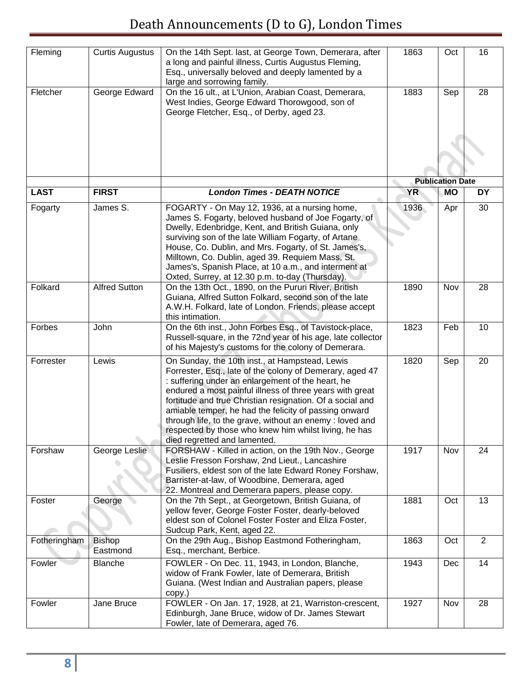| Fleming      | <b>Curtis Augustus</b>    | On the 14th Sept. last, at George Town, Demerara, after<br>a long and painful illness, Curtis Augustus Fleming,<br>Esq., universally beloved and deeply lamented by a<br>large and sorrowing family.                                                                                                                                                                                                                                                                                                   | 1863      | Oct                     | 16             |
|--------------|---------------------------|--------------------------------------------------------------------------------------------------------------------------------------------------------------------------------------------------------------------------------------------------------------------------------------------------------------------------------------------------------------------------------------------------------------------------------------------------------------------------------------------------------|-----------|-------------------------|----------------|
| Fletcher     | George Edward             | On the 16 ult., at L'Union, Arabian Coast, Demerara,<br>West Indies, George Edward Thorowgood, son of<br>George Fletcher, Esq., of Derby, aged 23.                                                                                                                                                                                                                                                                                                                                                     | 1883      | Sep                     | 28             |
|              |                           |                                                                                                                                                                                                                                                                                                                                                                                                                                                                                                        |           |                         |                |
|              |                           |                                                                                                                                                                                                                                                                                                                                                                                                                                                                                                        |           | <b>Publication Date</b> |                |
| <b>LAST</b>  | <b>FIRST</b>              | <b>London Times - DEATH NOTICE</b>                                                                                                                                                                                                                                                                                                                                                                                                                                                                     | <b>YR</b> | <b>MO</b>               | <b>DY</b>      |
| Fogarty      | James S.                  | FOGARTY - On May 12, 1936, at a nursing home,<br>James S. Fogarty, beloved husband of Joe Fogarty, of<br>Dwelly, Edenbridge, Kent, and British Guiana, only<br>surviving son of the late William Fogarty, of Artane<br>House, Co. Dublin, and Mrs. Fogarty, of St. James's,<br>Milltown, Co. Dublin, aged 39. Requiem Mass, St.<br>James's, Spanish Place, at 10 a.m., and interment at<br>Oxted, Surrey, at 12.30 p.m. to-day (Thursday).                                                             | 1936      | Apr                     | 30             |
| Folkard      | <b>Alfred Sutton</b>      | On the 13th Oct., 1890, on the Pururi River, British<br>Guiana, Alfred Sutton Folkard, second son of the late<br>A.W.H. Folkard, late of London. Friends, please accept<br>this intimation.                                                                                                                                                                                                                                                                                                            | 1890      | Nov                     | 28             |
| Forbes       | John                      | On the 6th inst., John Forbes Esq., of Tavistock-place,<br>Russell-square, in the 72nd year of his age, late collector<br>of his Majesty's customs for the colony of Demerara.                                                                                                                                                                                                                                                                                                                         | 1823      | Feb                     | 10             |
| Forrester    | Lewis                     | On Sunday, the 10th inst., at Hampstead, Lewis<br>Forrester, Esq., late of the colony of Demerary, aged 47<br>: suffering under an enlargement of the heart, he<br>endured a most painful illness of three years with great<br>fortitude and true Christian resignation. Of a social and<br>amiable temper, he had the felicity of passing onward<br>through life, to the grave, without an enemy : loved and<br>respected by those who knew him whilst living, he has<br>died regretted and lamented. | 1820      | Sep                     | 20             |
| Forshaw      | George Leslie             | FORSHAW - Killed in action, on the 19th Nov., George<br>Leslie Fresson Forshaw, 2nd Lieut., Lancashire<br>Fusiliers, eldest son of the late Edward Roney Forshaw,<br>Barrister-at-law, of Woodbine, Demerara, aged<br>22. Montreal and Demerara papers, please copy.                                                                                                                                                                                                                                   | 1917      | Nov                     | 24             |
| Foster       | George                    | On the 7th Sept., at Georgetown, British Guiana, of<br>yellow fever, George Foster Foster, dearly-beloved<br>eldest son of Colonel Foster Foster and Eliza Foster,<br>Sudcup Park, Kent, aged 22.                                                                                                                                                                                                                                                                                                      | 1881      | Oct                     | 13             |
| Fotheringham | <b>Bishop</b><br>Eastmond | On the 29th Aug., Bishop Eastmond Fotheringham,<br>Esq., merchant, Berbice.                                                                                                                                                                                                                                                                                                                                                                                                                            | 1863      | Oct                     | $\overline{2}$ |
| Fowler       | Blanche                   | FOWLER - On Dec. 11, 1943, in London, Blanche,<br>widow of Frank Fowler, late of Demerara, British<br>Guiana. (West Indian and Australian papers, please<br>copy.)                                                                                                                                                                                                                                                                                                                                     | 1943      | Dec                     | 14             |
| Fowler       | Jane Bruce                | FOWLER - On Jan. 17, 1928, at 21, Warriston-crescent,<br>Edinburgh, Jane Bruce, widow of Dr. James Stewart<br>Fowler, late of Demerara, aged 76.                                                                                                                                                                                                                                                                                                                                                       | 1927      | Nov                     | 28             |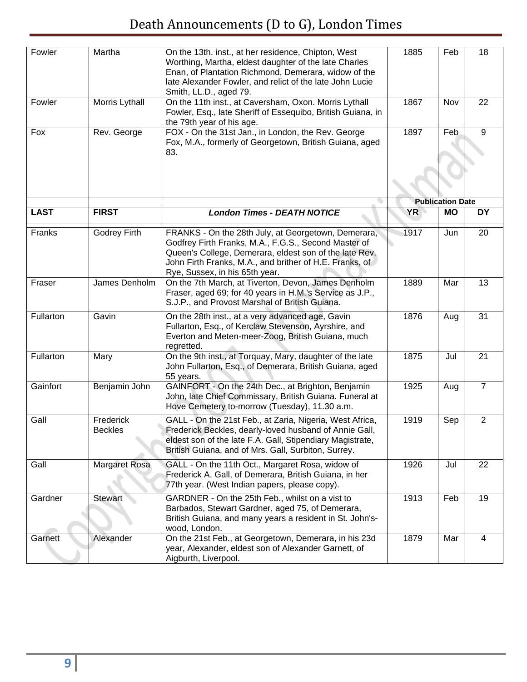| Fowler      | Martha                      | On the 13th. inst., at her residence, Chipton, West<br>Worthing, Martha, eldest daughter of the late Charles<br>Enan, of Plantation Richmond, Demerara, widow of the<br>late Alexander Fowler, and relict of the late John Lucie<br>Smith, LL.D., aged 79.         | 1885      | Feb                     | 18             |
|-------------|-----------------------------|--------------------------------------------------------------------------------------------------------------------------------------------------------------------------------------------------------------------------------------------------------------------|-----------|-------------------------|----------------|
| Fowler      | Morris Lythall              | On the 11th inst., at Caversham, Oxon. Morris Lythall<br>Fowler, Esq., late Sheriff of Essequibo, British Guiana, in<br>the 79th year of his age.                                                                                                                  | 1867      | Nov                     | 22             |
| Fox         | Rev. George                 | FOX - On the 31st Jan., in London, the Rev. George<br>Fox, M.A., formerly of Georgetown, British Guiana, aged<br>83.                                                                                                                                               | 1897      | Feb                     | $\overline{9}$ |
|             |                             |                                                                                                                                                                                                                                                                    |           | <b>Publication Date</b> |                |
| <b>LAST</b> | <b>FIRST</b>                | <b>London Times - DEATH NOTICE</b>                                                                                                                                                                                                                                 | <b>YR</b> | <b>MO</b>               | <b>DY</b>      |
| Franks      | Godrey Firth                | FRANKS - On the 28th July, at Georgetown, Demerara,<br>Godfrey Firth Franks, M.A., F.G.S., Second Master of<br>Queen's College, Demerara, eldest son of the late Rev.<br>John Firth Franks, M.A., and brither of H.E. Franks, of<br>Rye, Sussex, in his 65th year. | 1917      | Jun                     | 20             |
| Fraser      | James Denholm               | On the 7th March, at Tiverton, Devon, James Denholm<br>Fraser, aged 69; for 40 years in H.M.'s Service as J.P.,<br>S.J.P., and Provost Marshal of British Guiana.                                                                                                  | 1889      | Mar                     | 13             |
| Fullarton   | Gavin                       | On the 28th inst., at a very advanced age, Gavin<br>Fullarton, Esq., of Kerclaw Stevenson, Ayrshire, and<br>Everton and Meten-meer-Zoog, British Guiana, much<br>regretted.                                                                                        | 1876      | Aug                     | 31             |
| Fullarton   | Mary                        | On the 9th inst., at Torquay, Mary, daughter of the late<br>John Fullarton, Esq., of Demerara, British Guiana, aged<br>55 years.                                                                                                                                   | 1875      | Jul                     | 21             |
| Gainfort    | Benjamin John               | GAINFORT - On the 24th Dec., at Brighton, Benjamin<br>John, late Chief Commissary, British Guiana. Funeral at<br>Hove Cemetery to-morrow (Tuesday), 11.30 a.m.                                                                                                     | 1925      | Aug                     | $\overline{7}$ |
| Gall        | Frederick<br><b>Beckles</b> | GALL - On the 21st Feb., at Zaria, Nigeria, West Africa,<br>Frederick Beckles, dearly-loved husband of Annie Gall,<br>eldest son of the late F.A. Gall, Stipendiary Magistrate,<br>British Guiana, and of Mrs. Gall, Surbiton, Surrey.                             | 1919      | Sep                     | $\mathbf{2}$   |
| Gall        | <b>Margaret Rosa</b>        | GALL - On the 11th Oct., Margaret Rosa, widow of<br>Frederick A. Gall, of Demerara, British Guiana, in her<br>77th year. (West Indian papers, please copy).                                                                                                        | 1926      | Jul                     | 22             |
| Gardner     | <b>Stewart</b>              | GARDNER - On the 25th Feb., whilst on a vist to<br>Barbados, Stewart Gardner, aged 75, of Demerara,<br>British Guiana, and many years a resident in St. John's-<br>wood, London.                                                                                   | 1913      | Feb                     | 19             |
| Garnett     | Alexander                   | On the 21st Feb., at Georgetown, Demerara, in his 23d<br>year, Alexander, eldest son of Alexander Garnett, of<br>Aigburth, Liverpool.                                                                                                                              | 1879      | Mar                     | 4              |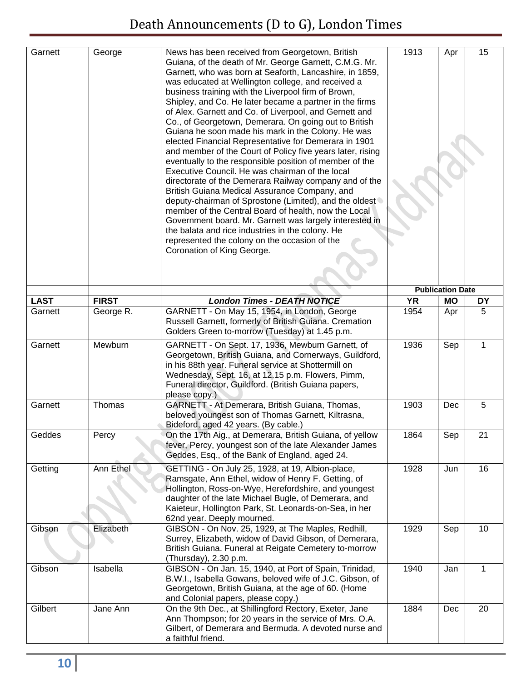| Garnett     | George       | News has been received from Georgetown, British<br>Guiana, of the death of Mr. George Garnett, C.M.G. Mr.<br>Garnett, who was born at Seaforth, Lancashire, in 1859,<br>was educated at Wellington college, and received a<br>business training with the Liverpool firm of Brown,<br>Shipley, and Co. He later became a partner in the firms<br>of Alex. Garnett and Co. of Liverpool, and Gernett and<br>Co., of Georgetown, Demerara. On going out to British<br>Guiana he soon made his mark in the Colony. He was<br>elected Financial Representative for Demerara in 1901<br>and member of the Court of Policy five years later, rising<br>eventually to the responsible position of member of the<br>Executive Council. He was chairman of the local<br>directorate of the Demerara Railway company and of the<br>British Guiana Medical Assurance Company, and<br>deputy-chairman of Sprostone (Limited), and the oldest<br>member of the Central Board of health, now the Local<br>Government board. Mr. Garnett was largely interested in<br>the balata and rice industries in the colony. He<br>represented the colony on the occasion of the<br>Coronation of King George. | 1913      | Apr                     | 15           |
|-------------|--------------|---------------------------------------------------------------------------------------------------------------------------------------------------------------------------------------------------------------------------------------------------------------------------------------------------------------------------------------------------------------------------------------------------------------------------------------------------------------------------------------------------------------------------------------------------------------------------------------------------------------------------------------------------------------------------------------------------------------------------------------------------------------------------------------------------------------------------------------------------------------------------------------------------------------------------------------------------------------------------------------------------------------------------------------------------------------------------------------------------------------------------------------------------------------------------------------|-----------|-------------------------|--------------|
|             |              |                                                                                                                                                                                                                                                                                                                                                                                                                                                                                                                                                                                                                                                                                                                                                                                                                                                                                                                                                                                                                                                                                                                                                                                       |           | <b>Publication Date</b> |              |
| <b>LAST</b> | <b>FIRST</b> | <b>London Times - DEATH NOTICE</b>                                                                                                                                                                                                                                                                                                                                                                                                                                                                                                                                                                                                                                                                                                                                                                                                                                                                                                                                                                                                                                                                                                                                                    | <b>YR</b> | <b>MO</b>               | DY           |
| Garnett     | George R.    | GARNETT - On May 15, 1954, in London, George<br>Russell Garnett, formerly of British Guiana. Cremation<br>Golders Green to-morrow (Tuesday) at 1.45 p.m.                                                                                                                                                                                                                                                                                                                                                                                                                                                                                                                                                                                                                                                                                                                                                                                                                                                                                                                                                                                                                              | 1954      | Apr                     | 5            |
| Garnett     | Mewburn      | GARNETT - On Sept. 17, 1936, Mewburn Garnett, of<br>Georgetown, British Guiana, and Cornerways, Guildford,<br>in his 88th year. Funeral service at Shottermill on<br>Wednesday, Sept. 16, at 12.15 p.m. Flowers, Pimm,<br>Funeral director, Guildford. (British Guiana papers,<br>please copy.)                                                                                                                                                                                                                                                                                                                                                                                                                                                                                                                                                                                                                                                                                                                                                                                                                                                                                       | 1936      | Sep                     | $\mathbf{1}$ |
| Garnett     | Thomas       | GARNETT - At Demerara, British Guiana, Thomas,<br>beloved youngest son of Thomas Garnett, Kiltrasna,<br>Bideford, aged 42 years. (By cable.)                                                                                                                                                                                                                                                                                                                                                                                                                                                                                                                                                                                                                                                                                                                                                                                                                                                                                                                                                                                                                                          | 1903      | Dec                     | 5            |
| Geddes      | Percy        | On the 17th Aig., at Demerara, British Guiana, of yellow<br>fever, Percy, youngest son of the late Alexander James<br>Geddes, Esq., of the Bank of England, aged 24.                                                                                                                                                                                                                                                                                                                                                                                                                                                                                                                                                                                                                                                                                                                                                                                                                                                                                                                                                                                                                  | 1864      | Sep                     | 21           |
| Getting     | Ann Ethel    | GETTING - On July 25, 1928, at 19, Albion-place,<br>Ramsgate, Ann Ethel, widow of Henry F. Getting, of<br>Hollington, Ross-on-Wye, Herefordshire, and youngest<br>daughter of the late Michael Bugle, of Demerara, and<br>Kaieteur, Hollington Park, St. Leonards-on-Sea, in her<br>62nd year. Deeply mourned.                                                                                                                                                                                                                                                                                                                                                                                                                                                                                                                                                                                                                                                                                                                                                                                                                                                                        | 1928      | Jun                     | 16           |
| Gibson      | Elizabeth    | GIBSON - On Nov. 25, 1929, at The Maples, Redhill,<br>Surrey, Elizabeth, widow of David Gibson, of Demerara,<br>British Guiana. Funeral at Reigate Cemetery to-morrow<br>(Thursday), 2.30 p.m.                                                                                                                                                                                                                                                                                                                                                                                                                                                                                                                                                                                                                                                                                                                                                                                                                                                                                                                                                                                        | 1929      | Sep                     | 10           |
| Gibson      | Isabella     | GIBSON - On Jan. 15, 1940, at Port of Spain, Trinidad,<br>B.W.I., Isabella Gowans, beloved wife of J.C. Gibson, of<br>Georgetown, British Guiana, at the age of 60. (Home<br>and Colonial papers, please copy.)                                                                                                                                                                                                                                                                                                                                                                                                                                                                                                                                                                                                                                                                                                                                                                                                                                                                                                                                                                       | 1940      | Jan                     | $\mathbf{1}$ |
| Gilbert     | Jane Ann     | On the 9th Dec., at Shillingford Rectory, Exeter, Jane<br>Ann Thompson; for 20 years in the service of Mrs. O.A.<br>Gilbert, of Demerara and Bermuda. A devoted nurse and<br>a faithful friend.                                                                                                                                                                                                                                                                                                                                                                                                                                                                                                                                                                                                                                                                                                                                                                                                                                                                                                                                                                                       | 1884      | Dec                     | 20           |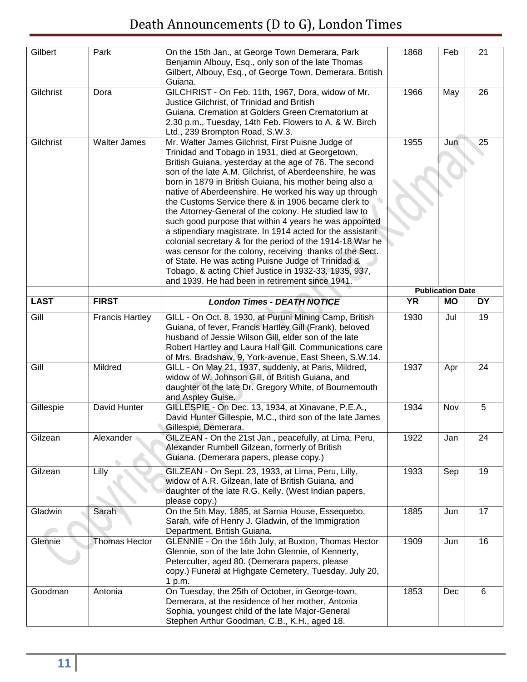| Gilbert            | Park                   | On the 15th Jan., at George Town Demerara, Park<br>Benjamin Albouy, Esq., only son of the late Thomas<br>Gilbert, Albouy, Esq., of George Town, Demerara, British                                                                                                                                                                                                                                                                                                                                                                                                                                                                                                                                                                                                                                                                                                                 | 1868      | Feb                     | 21        |
|--------------------|------------------------|-----------------------------------------------------------------------------------------------------------------------------------------------------------------------------------------------------------------------------------------------------------------------------------------------------------------------------------------------------------------------------------------------------------------------------------------------------------------------------------------------------------------------------------------------------------------------------------------------------------------------------------------------------------------------------------------------------------------------------------------------------------------------------------------------------------------------------------------------------------------------------------|-----------|-------------------------|-----------|
|                    |                        | Guiana.                                                                                                                                                                                                                                                                                                                                                                                                                                                                                                                                                                                                                                                                                                                                                                                                                                                                           |           |                         |           |
| Gilchrist          | Dora                   | GILCHRIST - On Feb. 11th, 1967, Dora, widow of Mr.<br>Justice Gilchrist, of Trinidad and British<br>Guiana. Cremation at Golders Green Crematorium at<br>2.30 p.m., Tuesday, 14th Feb. Flowers to A. & W. Birch<br>Ltd., 239 Brompton Road, S.W.3.                                                                                                                                                                                                                                                                                                                                                                                                                                                                                                                                                                                                                                | 1966      | May                     | 26        |
| Gilchrist          | <b>Walter James</b>    | Mr. Walter James Gilchrist, First Puisne Judge of<br>Trinidad and Tobago in 1931, died at Georgetown,<br>British Guiana, yesterday at the age of 76. The second<br>son of the late A.M. Gilchrist, of Aberdeenshire, he was<br>born in 1879 in British Guiana, his mother being also a<br>native of Aberdeenshire. He worked his way up through<br>the Customs Service there & in 1906 became clerk to<br>the Attorney-General of the colony. He studied law to<br>such good purpose that within 4 years he was appointed<br>a stipendiary magistrate. In 1914 acted for the assistant<br>colonial secretary & for the period of the 1914-18 War he<br>was censor for the colony, receiving thanks of the Sect.<br>of State. He was acting Puisne Judge of Trinidad &<br>Tobago, & acting Chief Justice in 1932-33, 1935, 937,<br>and 1939. He had been in retirement since 1941. | 1955      | Jun                     | 25        |
|                    |                        |                                                                                                                                                                                                                                                                                                                                                                                                                                                                                                                                                                                                                                                                                                                                                                                                                                                                                   |           | <b>Publication Date</b> |           |
| <b>LAST</b>        | <b>FIRST</b>           | <b>London Times - DEATH NOTICE</b>                                                                                                                                                                                                                                                                                                                                                                                                                                                                                                                                                                                                                                                                                                                                                                                                                                                | <b>YR</b> | <b>MO</b>               | <b>DY</b> |
| $\overline{G}$ ill | <b>Francis Hartley</b> | GILL - On Oct. 8, 1930, at Puruni Mining Camp, British<br>Guiana, of fever, Francis Hartley Gill (Frank), beloved<br>husband of Jessie Wilson Gill, elder son of the late<br>Robert Hartley and Laura Hall Gill. Communications care<br>of Mrs. Bradshaw, 9, York-avenue, East Sheen, S.W.14.                                                                                                                                                                                                                                                                                                                                                                                                                                                                                                                                                                                     | 1930      | Jul                     | 19        |
| Gill               | Mildred                | GILL - On May 21, 1937, suddenly, at Paris, Mildred,<br>widow of W. Johnson Gill, of British Guiana, and<br>daughter of the late Dr. Gregory White, of Bournemouth<br>and Aspley Guise.                                                                                                                                                                                                                                                                                                                                                                                                                                                                                                                                                                                                                                                                                           | 1937      | Apr                     | 24        |
| Gillespie          | David Hunter           | GILLESPIE - On Dec. 13, 1934, at Xinavane, P.E.A.,<br>David Hunter Gillespie, M.C., third son of the late James<br>Gillespie, Demerara.                                                                                                                                                                                                                                                                                                                                                                                                                                                                                                                                                                                                                                                                                                                                           | 1934      | Nov                     | 5         |
| Gilzean            | Alexander              | GILZEAN - On the 21st Jan., peacefully, at Lima, Peru,<br>Alexander Rumbell Gilzean, formerly of British<br>Guiana. (Demerara papers, please copy.)                                                                                                                                                                                                                                                                                                                                                                                                                                                                                                                                                                                                                                                                                                                               | 1922      | Jan                     | 24        |
| Gilzean            | Lilly                  | GILZEAN - On Sept. 23, 1933, at Lima, Peru, Lilly,<br>widow of A.R. Gilzean, late of British Guiana, and<br>daughter of the late R.G. Kelly. (West Indian papers,<br>please copy.)                                                                                                                                                                                                                                                                                                                                                                                                                                                                                                                                                                                                                                                                                                | 1933      | Sep                     | 19        |
| Gladwin            | Sarah                  | On the 5th May, 1885, at Sarnia House, Essequebo,<br>Sarah, wife of Henry J. Gladwin, of the Immigration<br>Department, British Guiana.                                                                                                                                                                                                                                                                                                                                                                                                                                                                                                                                                                                                                                                                                                                                           | 1885      | Jun                     | 17        |
| Glennie            | <b>Thomas Hector</b>   | GLENNIE - On the 16th July, at Buxton, Thomas Hector<br>Glennie, son of the late John Glennie, of Kennerty,<br>Peterculter, aged 80. (Demerara papers, please<br>copy.) Funeral at Highgate Cemetery, Tuesday, July 20,<br>1 p.m.                                                                                                                                                                                                                                                                                                                                                                                                                                                                                                                                                                                                                                                 | 1909      | Jun                     | 16        |
| Goodman            | Antonia                | On Tuesday, the 25th of October, in George-town,<br>Demerara, at the residence of her mother, Antonia<br>Sophia, youngest child of the late Major-General<br>Stephen Arthur Goodman, C.B., K.H., aged 18.                                                                                                                                                                                                                                                                                                                                                                                                                                                                                                                                                                                                                                                                         | 1853      | Dec                     | 6         |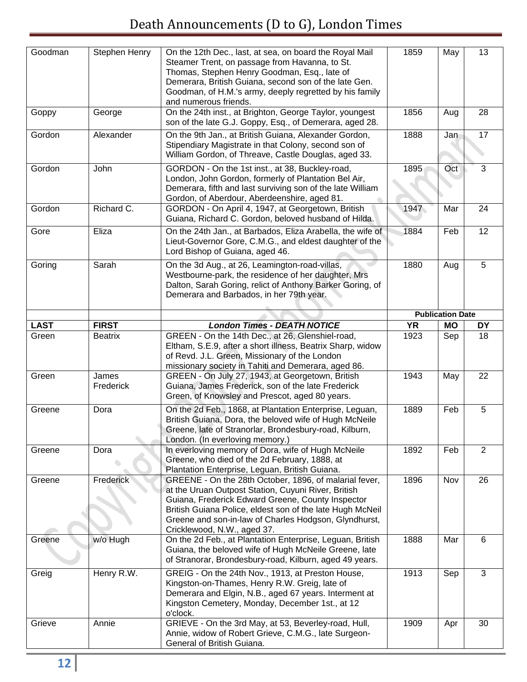| Goodman     | Stephen Henry      | On the 12th Dec., last, at sea, on board the Royal Mail<br>Steamer Trent, on passage from Havanna, to St.<br>Thomas, Stephen Henry Goodman, Esq., late of<br>Demerara, British Guiana, second son of the late Gen.<br>Goodman, of H.M.'s army, deeply regretted by his family<br>and numerous friends.                  | 1859      | May                     | 13             |
|-------------|--------------------|-------------------------------------------------------------------------------------------------------------------------------------------------------------------------------------------------------------------------------------------------------------------------------------------------------------------------|-----------|-------------------------|----------------|
| Goppy       | George             | On the 24th inst., at Brighton, George Taylor, youngest<br>son of the late G.J. Goppy, Esq., of Demerara, aged 28.                                                                                                                                                                                                      | 1856      | Aug                     | 28             |
| Gordon      | Alexander          | On the 9th Jan., at British Guiana, Alexander Gordon,<br>Stipendiary Magistrate in that Colony, second son of<br>William Gordon, of Threave, Castle Douglas, aged 33.                                                                                                                                                   | 1888      | Jan                     | 17             |
| Gordon      | John               | GORDON - On the 1st inst., at 38, Buckley-road,<br>London, John Gordon, formerly of Plantation Bel Air,<br>Demerara, fifth and last surviving son of the late William<br>Gordon, of Aberdour, Aberdeenshire, aged 81.                                                                                                   | 1895      | Oct                     | 3              |
| Gordon      | Richard C.         | GORDON - On April 4, 1947, at Georgetown, British<br>Guiana, Richard C. Gordon, beloved husband of Hilda.                                                                                                                                                                                                               | 1947      | Mar                     | 24             |
| Gore        | Eliza              | On the 24th Jan., at Barbados, Eliza Arabella, the wife of<br>Lieut-Governor Gore, C.M.G., and eldest daughter of the<br>Lord Bishop of Guiana, aged 46.                                                                                                                                                                | 1884      | Feb                     | 12             |
| Goring      | Sarah              | On the 3d Aug., at 26, Leamington-road-villas,<br>Westbourne-park, the residence of her daughter, Mrs<br>Dalton, Sarah Goring, relict of Anthony Barker Goring, of<br>Demerara and Barbados, in her 79th year.                                                                                                          | 1880      | Aug                     | 5              |
|             |                    |                                                                                                                                                                                                                                                                                                                         |           | <b>Publication Date</b> |                |
| <b>LAST</b> | <b>FIRST</b>       | <b>London Times - DEATH NOTICE</b>                                                                                                                                                                                                                                                                                      | <b>YR</b> | <b>MO</b>               | <b>DY</b>      |
| Green       | <b>Beatrix</b>     | GREEN - On the 14th Dec., at 26, Glenshiel-road,<br>Eltham, S.E.9, after a short illness, Beatrix Sharp, widow<br>of Revd. J.L. Green, Missionary of the London<br>missionary society in Tahiti and Demerara, aged 86.                                                                                                  | 1923      | Sep                     | 18             |
| Green       | James<br>Frederick | GREEN - On July 27, 1943, at Georgetown, British<br>Guiana, James Frederick, son of the late Frederick<br>Green, of Knowsley and Prescot, aged 80 years.                                                                                                                                                                | 1943      | May                     | 22             |
| Greene      | Dora               | On the 2d Feb., 1868, at Plantation Enterprise, Leguan,<br>British Guiana, Dora, the beloved wife of Hugh McNeile<br>Greene, late of Stranorlar, Brondesbury-road, Kilburn,<br>London. (In everloving memory.)                                                                                                          | 1889      | Feb                     | 5              |
| Greene      | Dora               | In everloving memory of Dora, wife of Hugh McNeile<br>Greene, who died of the 2d February, 1888, at<br>Plantation Enterprise, Leguan, British Guiana.                                                                                                                                                                   | 1892      | Feb                     | $\overline{2}$ |
| Greene      | Frederick          | GREENE - On the 28th October, 1896, of malarial fever,<br>at the Uruan Outpost Station, Cuyuni River, British<br>Guiana, Frederick Edward Greene, County Inspector<br>British Guiana Police, eldest son of the late Hugh McNeil<br>Greene and son-in-law of Charles Hodgson, Glyndhurst,<br>Cricklewood, N.W., aged 37. | 1896      | Nov                     | 26             |
| Greene      | w/o Hugh           | On the 2d Feb., at Plantation Enterprise, Leguan, British<br>Guiana, the beloved wife of Hugh McNeile Greene, late<br>of Stranorar, Brondesbury-road, Kilburn, aged 49 years.                                                                                                                                           | 1888      | Mar                     | 6              |
| Greig       | Henry R.W.         | GREIG - On the 24th Nov., 1913, at Preston House,<br>Kingston-on-Thames, Henry R.W. Greig, late of<br>Demerara and Elgin, N.B., aged 67 years. Interment at<br>Kingston Cemetery, Monday, December 1st., at 12<br>o'clock.                                                                                              | 1913      | Sep                     | 3              |
| Grieve      | Annie              | GRIEVE - On the 3rd May, at 53, Beverley-road, Hull,<br>Annie, widow of Robert Grieve, C.M.G., late Surgeon-<br>General of British Guiana.                                                                                                                                                                              | 1909      | Apr                     | 30             |